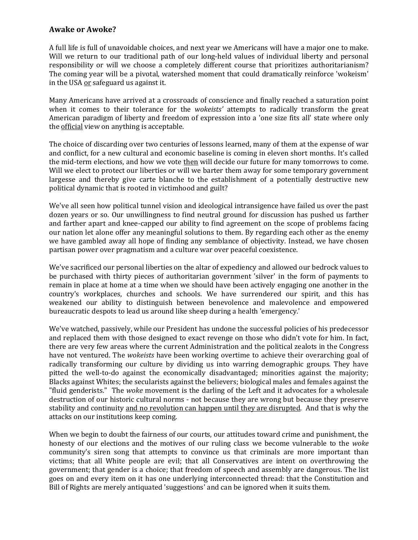## **Awake or Awoke?**

A full life is full of unavoidable choices, and next year we Americans will have a major one to make. Will we return to our traditional path of our long-held values of individual liberty and personal responsibility or will we choose a completely different course that prioritizes authoritarianism? The coming year will be a pivotal, watershed moment that could dramatically reinforce 'wokeism' in the USA or safeguard us against it.

Many Americans have arrived at a crossroads of conscience and finally reached a saturation point when it comes to their tolerance for the *wokeists'* attempts to radically transform the great American paradigm of liberty and freedom of expression into a 'one size fits all' state where only the official view on anything is acceptable.

The choice of discarding over two centuries of lessons learned, many of them at the expense of war and conflict, for a new cultural and economic baseline is coming in eleven short months. It's called the mid-term elections, and how we vote then will decide our future for many tomorrows to come. Will we elect to protect our liberties or will we barter them away for some temporary government largesse and thereby give carte blanche to the establishment of a potentially destructive new political dynamic that is rooted in victimhood and guilt?

We've all seen how political tunnel vision and ideological intransigence have failed us over the past dozen years or so. Our unwillingness to find neutral ground for discussion has pushed us farther and farther apart and knee-capped our ability to find agreement on the scope of problems facing our nation let alone offer any meaningful solutions to them. By regarding each other as the enemy we have gambled away all hope of finding any semblance of objectivity. Instead, we have chosen partisan power over pragmatism and a culture war over peaceful coexistence.

We've sacrificed our personal liberties on the altar of expediency and allowed our bedrock values to be purchased with thirty pieces of authoritarian government 'silver' in the form of payments to remain in place at home at a time when we should have been actively engaging one another in the country's workplaces, churches and schools. We have surrendered our spirit, and this has weakened our ability to distinguish between benevolence and malevolence and empowered bureaucratic despots to lead us around like sheep during a health 'emergency.'

We've watched, passively, while our President has undone the successful policies of his predecessor and replaced them with those designed to exact revenge on those who didn't vote for him. In fact, there are very few areas where the current Administration and the political zealots in the Congress have not ventured. The *wokeists* have been working overtime to achieve their overarching goal of radically transforming our culture by dividing us into warring demographic groups. They have pitted the well-to-do against the economically disadvantaged; minorities against the majority; Blacks against Whites; the secularists against the believers; biological males and females against the "fluid genderists." The *woke* movement is the darling of the Left and it advocates for a wholesale destruction of our historic cultural norms - not because they are wrong but because they preserve stability and continuity and no revolution can happen until they are disrupted. And that is why the attacks on our institutions keep coming.

When we begin to doubt the fairness of our courts, our attitudes toward crime and punishment, the honesty of our elections and the motives of our ruling class we become vulnerable to the *woke* community's siren song that attempts to convince us that criminals are more important than victims; that all White people are evil; that all Conservatives are intent on overthrowing the government; that gender is a choice; that freedom of speech and assembly are dangerous. The list goes on and every item on it has one underlying interconnected thread: that the Constitution and Bill of Rights are merely antiquated 'suggestions' and can be ignored when it suits them.